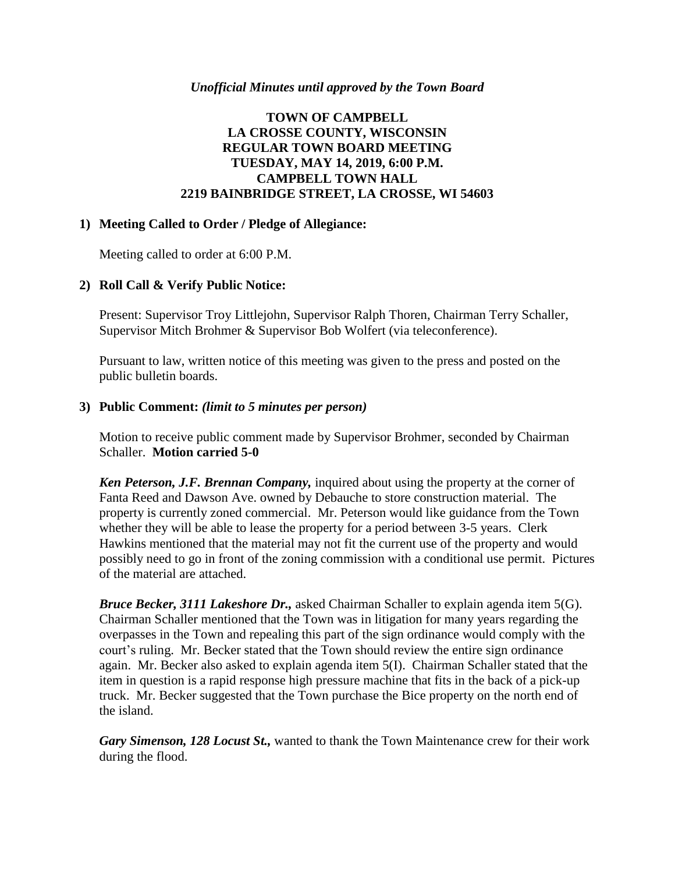#### *Unofficial Minutes until approved by the Town Board*

## **TOWN OF CAMPBELL LA CROSSE COUNTY, WISCONSIN REGULAR TOWN BOARD MEETING TUESDAY, MAY 14, 2019, 6:00 P.M. CAMPBELL TOWN HALL 2219 BAINBRIDGE STREET, LA CROSSE, WI 54603**

#### **1) Meeting Called to Order / Pledge of Allegiance:**

Meeting called to order at 6:00 P.M.

#### **2) Roll Call & Verify Public Notice:**

Present: Supervisor Troy Littlejohn, Supervisor Ralph Thoren, Chairman Terry Schaller, Supervisor Mitch Brohmer & Supervisor Bob Wolfert (via teleconference).

Pursuant to law, written notice of this meeting was given to the press and posted on the public bulletin boards.

#### **3) Public Comment:** *(limit to 5 minutes per person)*

Motion to receive public comment made by Supervisor Brohmer, seconded by Chairman Schaller. **Motion carried 5-0**

*Ken Peterson, J.F. Brennan Company,* inquired about using the property at the corner of Fanta Reed and Dawson Ave. owned by Debauche to store construction material. The property is currently zoned commercial. Mr. Peterson would like guidance from the Town whether they will be able to lease the property for a period between 3-5 years. Clerk Hawkins mentioned that the material may not fit the current use of the property and would possibly need to go in front of the zoning commission with a conditional use permit. Pictures of the material are attached.

*Bruce Becker, 3111 Lakeshore Dr.,* asked Chairman Schaller to explain agenda item 5(G). Chairman Schaller mentioned that the Town was in litigation for many years regarding the overpasses in the Town and repealing this part of the sign ordinance would comply with the court's ruling. Mr. Becker stated that the Town should review the entire sign ordinance again. Mr. Becker also asked to explain agenda item 5(I). Chairman Schaller stated that the item in question is a rapid response high pressure machine that fits in the back of a pick-up truck. Mr. Becker suggested that the Town purchase the Bice property on the north end of the island.

*Gary Simenson, 128 Locust St.,* wanted to thank the Town Maintenance crew for their work during the flood.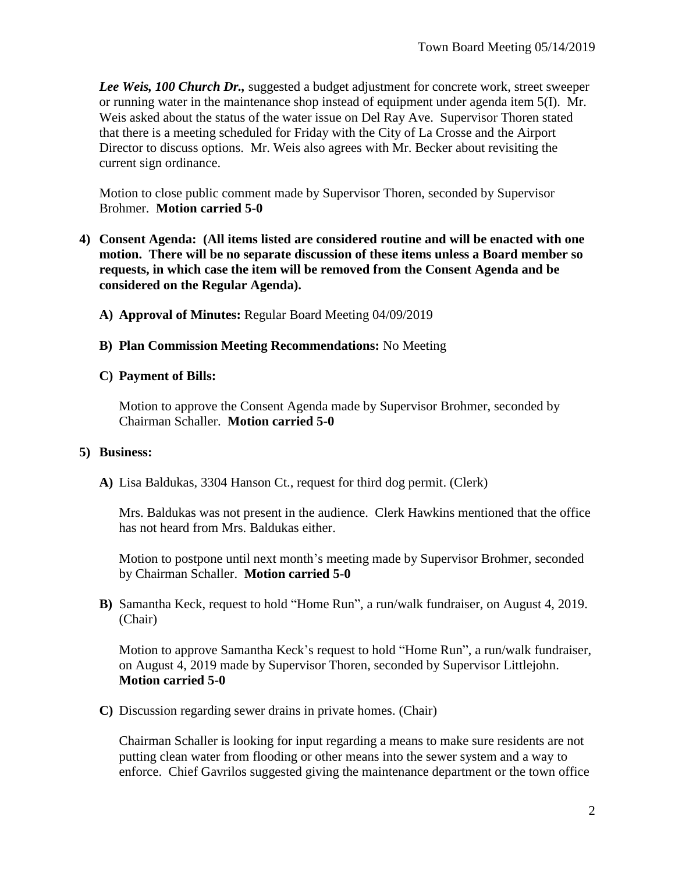**Lee Weis, 100 Church Dr.,** suggested a budget adjustment for concrete work, street sweeper or running water in the maintenance shop instead of equipment under agenda item 5(I). Mr. Weis asked about the status of the water issue on Del Ray Ave. Supervisor Thoren stated that there is a meeting scheduled for Friday with the City of La Crosse and the Airport Director to discuss options. Mr. Weis also agrees with Mr. Becker about revisiting the current sign ordinance.

Motion to close public comment made by Supervisor Thoren, seconded by Supervisor Brohmer. **Motion carried 5-0**

- **4) Consent Agenda: (All items listed are considered routine and will be enacted with one motion. There will be no separate discussion of these items unless a Board member so requests, in which case the item will be removed from the Consent Agenda and be considered on the Regular Agenda).**
	- **A) Approval of Minutes:** Regular Board Meeting 04/09/2019
	- **B) Plan Commission Meeting Recommendations:** No Meeting

### **C) Payment of Bills:**

Motion to approve the Consent Agenda made by Supervisor Brohmer, seconded by Chairman Schaller. **Motion carried 5-0**

#### **5) Business:**

**A)** Lisa Baldukas, 3304 Hanson Ct., request for third dog permit. (Clerk)

Mrs. Baldukas was not present in the audience. Clerk Hawkins mentioned that the office has not heard from Mrs. Baldukas either.

Motion to postpone until next month's meeting made by Supervisor Brohmer, seconded by Chairman Schaller. **Motion carried 5-0**

**B)** Samantha Keck, request to hold "Home Run", a run/walk fundraiser, on August 4, 2019. (Chair)

Motion to approve Samantha Keck's request to hold "Home Run", a run/walk fundraiser, on August 4, 2019 made by Supervisor Thoren, seconded by Supervisor Littlejohn. **Motion carried 5-0**

**C)** Discussion regarding sewer drains in private homes. (Chair)

Chairman Schaller is looking for input regarding a means to make sure residents are not putting clean water from flooding or other means into the sewer system and a way to enforce. Chief Gavrilos suggested giving the maintenance department or the town office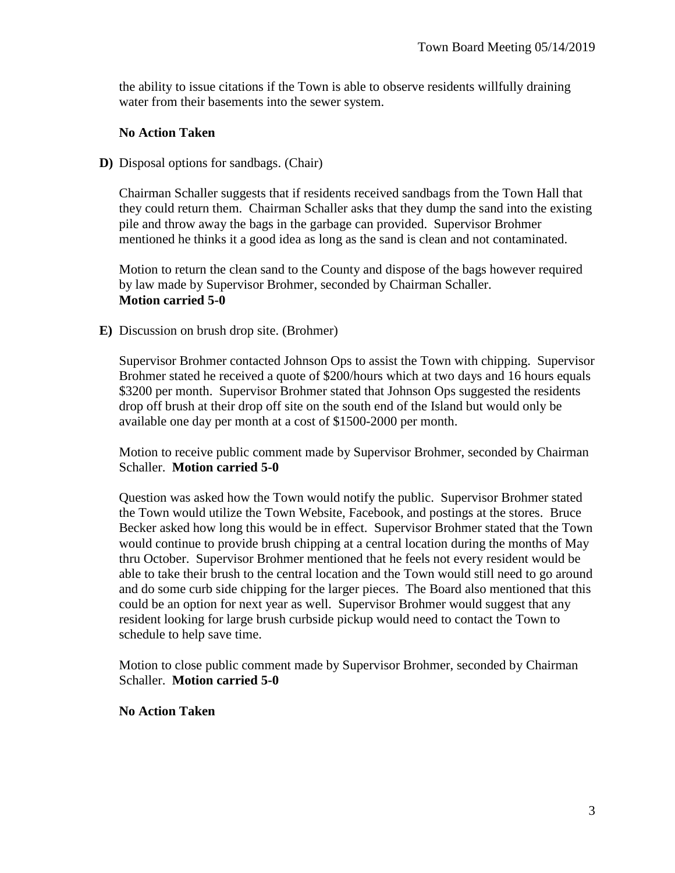the ability to issue citations if the Town is able to observe residents willfully draining water from their basements into the sewer system.

#### **No Action Taken**

**D)** Disposal options for sandbags. (Chair)

Chairman Schaller suggests that if residents received sandbags from the Town Hall that they could return them. Chairman Schaller asks that they dump the sand into the existing pile and throw away the bags in the garbage can provided. Supervisor Brohmer mentioned he thinks it a good idea as long as the sand is clean and not contaminated.

Motion to return the clean sand to the County and dispose of the bags however required by law made by Supervisor Brohmer, seconded by Chairman Schaller. **Motion carried 5-0**

**E)** Discussion on brush drop site. (Brohmer)

Supervisor Brohmer contacted Johnson Ops to assist the Town with chipping. Supervisor Brohmer stated he received a quote of \$200/hours which at two days and 16 hours equals \$3200 per month. Supervisor Brohmer stated that Johnson Ops suggested the residents drop off brush at their drop off site on the south end of the Island but would only be available one day per month at a cost of \$1500-2000 per month.

Motion to receive public comment made by Supervisor Brohmer, seconded by Chairman Schaller. **Motion carried 5-0**

Question was asked how the Town would notify the public. Supervisor Brohmer stated the Town would utilize the Town Website, Facebook, and postings at the stores. Bruce Becker asked how long this would be in effect. Supervisor Brohmer stated that the Town would continue to provide brush chipping at a central location during the months of May thru October. Supervisor Brohmer mentioned that he feels not every resident would be able to take their brush to the central location and the Town would still need to go around and do some curb side chipping for the larger pieces. The Board also mentioned that this could be an option for next year as well. Supervisor Brohmer would suggest that any resident looking for large brush curbside pickup would need to contact the Town to schedule to help save time.

Motion to close public comment made by Supervisor Brohmer, seconded by Chairman Schaller. **Motion carried 5-0**

**No Action Taken**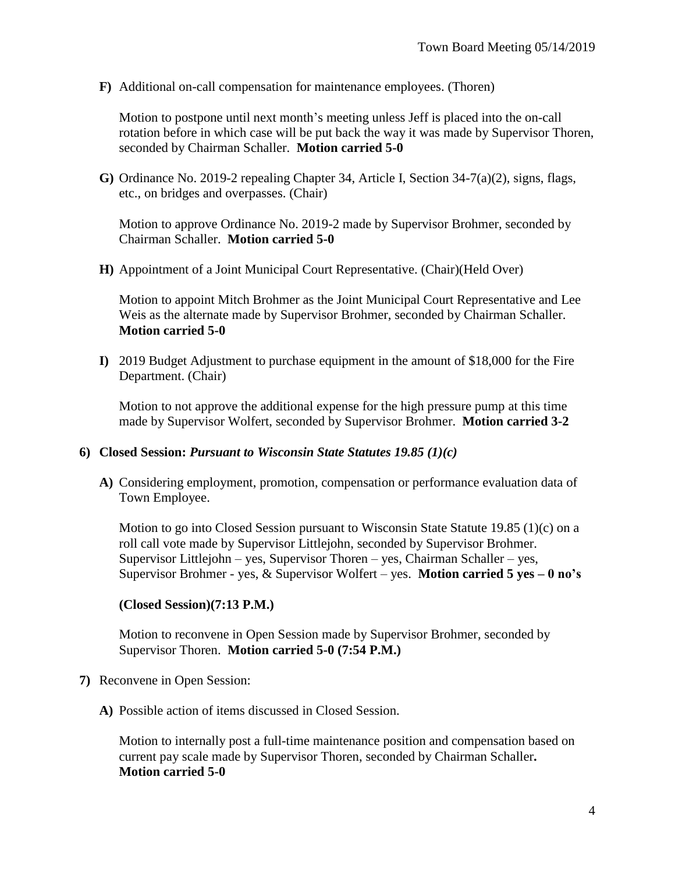**F)** Additional on-call compensation for maintenance employees. (Thoren)

Motion to postpone until next month's meeting unless Jeff is placed into the on-call rotation before in which case will be put back the way it was made by Supervisor Thoren, seconded by Chairman Schaller. **Motion carried 5-0**

**G)** Ordinance No. 2019-2 repealing Chapter 34, Article I, Section 34-7(a)(2), signs, flags, etc., on bridges and overpasses. (Chair)

Motion to approve Ordinance No. 2019-2 made by Supervisor Brohmer, seconded by Chairman Schaller. **Motion carried 5-0**

**H)** Appointment of a Joint Municipal Court Representative. (Chair)(Held Over)

Motion to appoint Mitch Brohmer as the Joint Municipal Court Representative and Lee Weis as the alternate made by Supervisor Brohmer, seconded by Chairman Schaller. **Motion carried 5-0**

**I)** 2019 Budget Adjustment to purchase equipment in the amount of \$18,000 for the Fire Department. (Chair)

Motion to not approve the additional expense for the high pressure pump at this time made by Supervisor Wolfert, seconded by Supervisor Brohmer. **Motion carried 3-2**

#### **6) Closed Session:** *Pursuant to Wisconsin State Statutes 19.85 (1)(c)*

**A)** Considering employment, promotion, compensation or performance evaluation data of Town Employee.

Motion to go into Closed Session pursuant to Wisconsin State Statute 19.85 (1)(c) on a roll call vote made by Supervisor Littlejohn, seconded by Supervisor Brohmer. Supervisor Littlejohn – yes, Supervisor Thoren – yes, Chairman Schaller – yes, Supervisor Brohmer - yes, & Supervisor Wolfert – yes. **Motion carried 5 yes – 0 no's**

## **(Closed Session)(7:13 P.M.)**

Motion to reconvene in Open Session made by Supervisor Brohmer, seconded by Supervisor Thoren. **Motion carried 5-0 (7:54 P.M.)**

- **7)** Reconvene in Open Session:
	- **A)** Possible action of items discussed in Closed Session.

Motion to internally post a full-time maintenance position and compensation based on current pay scale made by Supervisor Thoren, seconded by Chairman Schaller**. Motion carried 5-0**